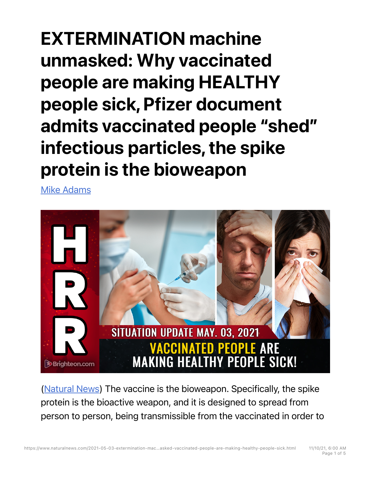**EXTERMINATION machine unmasked: Why vaccinated people are making HEALTHY people sick, Pfizer document admits vaccinated people "shed" infectious particles, the spike protein is the bioweapon**

Mike Adams



(Natural News) The vaccine is the bioweapon. Specifically, the spike protein is the bioactive weapon, and it is designed to spread from person to person, being transmissible from the vaccinated in order to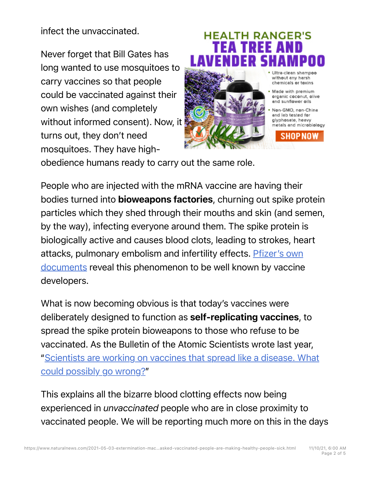infect the unvaccinated.

Never forget that Bill Gates has long wanted to use mosquitoes to carry vaccines so that people could be vaccinated against their own wishes (and completely without informed consent). Now, it turns out, they don't need mosquitoes. They have high-





obedience humans ready to carry out the same role.

People who are injected with the mRNA vaccine are having their bodies turned into bioweapons factories, churning out spike protein particles which they shed through their mouths and skin (and semen, by the way), infecting everyone around them. The spike protein is biologically active and causes blood clots, leading to strokes, heart attacks, pulmonary embolism and infertility effects. Pfizer's own documents reveal this phenomenon to be well known by vaccine developers.

What is now becoming obvious is that today's vaccines were deliberately designed to function as self-replicating vaccines, to spread the spike protein bioweapons to those who refuse to be vaccinated. As the Bulletin of the Atomic Scientists wrote last year, "Scientists are working on vaccines that spread like a disease. What could possibly go wrong?"

This explains all the bizarre blood clotting effects now being experienced in *unvaccinated* people who are in close proximity to vaccinated people. We will be reporting much more on this in the days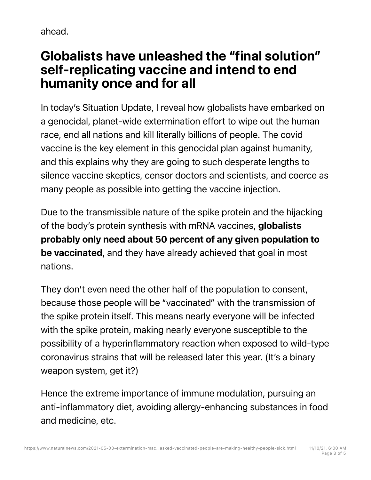ahead.

## Globalists have unleashed the "final solution" self-replicating vaccine and intend to end humanity once and for all

In today's Situation Update, I reveal how globalists have embarked on a genocidal, planet-wide extermination effort to wipe out the human race, end all nations and kill literally billions of people. The covid vaccine is the key element in this genocidal plan against humanity, and this explains why they are going to such desperate lengths to silence vaccine skeptics, censor doctors and scientists, and coerce as many people as possible into getting the vaccine injection.

Due to the transmissible nature of the spike protein and the hijacking of the body's protein synthesis with mRNA vaccines, globalists probably only need about 50 percent of any given population to be vaccinated, and they have already achieved that goal in most nations.

They don't even need the other half of the population to consent, because those people will be "vaccinated" with the transmission of the spike protein itself. This means nearly everyone will be infected with the spike protein, making nearly everyone susceptible to the possibility of a hyperinflammatory reaction when exposed to wild-type coronavirus strains that will be released later this year. (It's a binary weapon system, get it?)

Hence the extreme importance of immune modulation, pursuing an anti-inflammatory diet, avoiding allergy-enhancing substances in food and medicine, etc.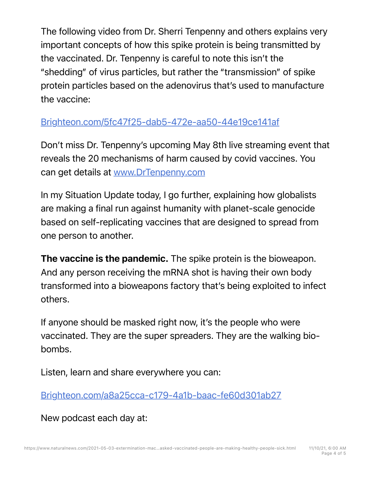The following video from Dr. Sherri Tenpenny and others explains very important concepts of how this spike protein is being transmitted by the vaccinated. Dr. Tenpenny is careful to note this isn't the "shedding" of virus particles, but rather the "transmission" of spike protein particles based on the adenovirus that's used to manufacture the vaccine:

## Brighteon.com/5fc47f25-dab5-472e-aa50-44e19ce141af

Don't miss Dr. Tenpenny's upcoming May 8th live streaming event that reveals the 20 mechanisms of harm caused by covid vaccines. You can get details at www.DrTenpenny.com

In my Situation Update today, I go further, explaining how globalists are making a final run against humanity with planet-scale genocide based on self-replicating vaccines that are designed to spread from one person to another.

The vaccine is the pandemic. The spike protein is the bioweapon. And any person receiving the mRNA shot is having their own body transformed into a bioweapons factory that's being exploited to infect others.

If anyone should be masked right now, it's the people who were vaccinated. They are the super spreaders. They are the walking biobombs.

Listen, learn and share everywhere you can:

Brighteon.com/a8a25cca-c179-4a1b-baac-fe60d301ab27

New podcast each day at: